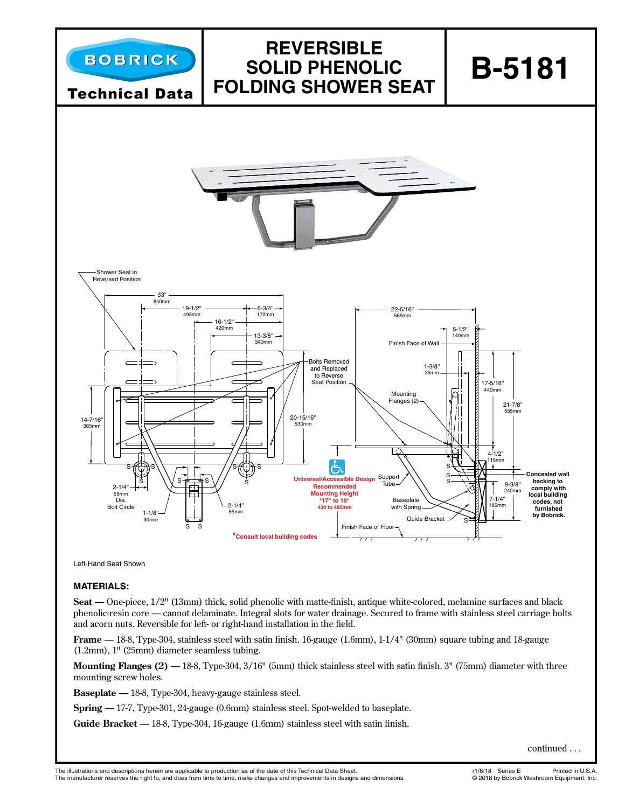

Left-Hand Seat Shown

#### **MATERIALS:**

Seat — One-piece,  $1/2$ " (13mm) thick, solid phenolic with matte-finish, antique white-colored, melamine surfaces and black phenolic-resin core — cannot delaminate. Integral slots for water drainage. Secured to frame with stainless steel carriage bolts and acorn nuts. Reversible for left- or right-hand installation in the field.

**Frame** - 18-8, Type-304, stainless steel with satin finish. 16-gauge (1.6mm), 1-1/4" (30mm) square tubing and 18-gauge (1.2mm), 1" (25mm) diameter seamless tubing.

**Mounting Flanges**  $(2)$  $-$  **18-8, Type-304, 3/16" (5mm) thick stainless steel with satin finish. 3" (75mm) diameter with three** mounting screw holes.

**Baseplate** — 18-8, Type-304, heavy-gauge stainless steel.

**Spring** — 17-7, Type-301, 24-gauge (0.6mm) stainless steel. Spot-welded to baseplate.

**Guide Bracket** — 18-8, Type-304, 16-gauge (1.6mm) stainless steel with satin finish.

continued . . .